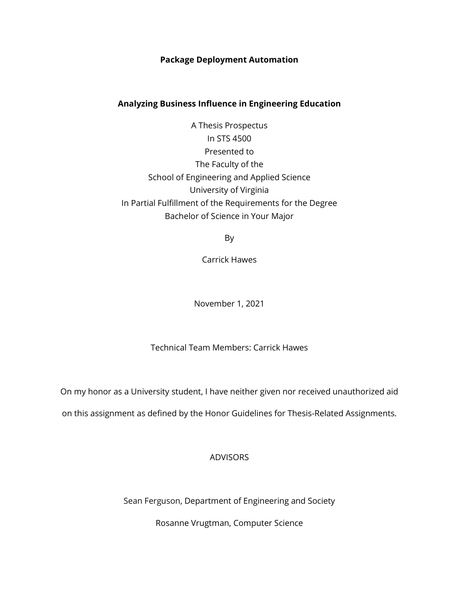# **Package Deployment Automation**

# **Analyzing Business Influence in Engineering Education**

A Thesis Prospectus In STS 4500 Presented to The Faculty of the School of Engineering and Applied Science University of Virginia In Partial Fulfillment of the Requirements for the Degree Bachelor of Science in Your Major

By

Carrick Hawes

November 1, 2021

Technical Team Members: Carrick Hawes

On my honor as a University student, I have neither given nor received unauthorized aid

on this assignment as defined by the Honor Guidelines for Thesis-Related Assignments.

# ADVISORS

Sean Ferguson, Department of Engineering and Society

Rosanne Vrugtman, Computer Science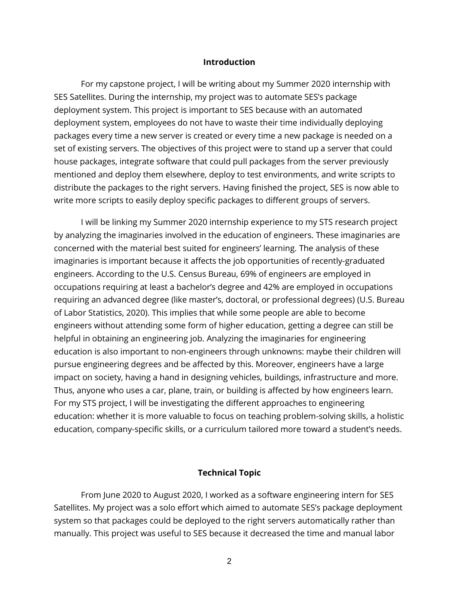#### **Introduction**

For my capstone project, I will be writing about my Summer 2020 internship with SES Satellites. During the internship, my project was to automate SES's package deployment system. This project is important to SES because with an automated deployment system, employees do not have to waste their time individually deploying packages every time a new server is created or every time a new package is needed on a set of existing servers. The objectives of this project were to stand up a server that could house packages, integrate software that could pull packages from the server previously mentioned and deploy them elsewhere, deploy to test environments, and write scripts to distribute the packages to the right servers. Having finished the project, SES is now able to write more scripts to easily deploy specific packages to different groups of servers.

I will be linking my Summer 2020 internship experience to my STS research project by analyzing the imaginaries involved in the education of engineers. These imaginaries are concerned with the material best suited for engineers' learning. The analysis of these imaginaries is important because it affects the job opportunities of recently-graduated engineers. According to the U.S. Census Bureau, 69% of engineers are employed in occupations requiring at least a bachelor's degree and 42% are employed in occupations requiring an advanced degree (like master's, doctoral, or professional degrees) (U.S. Bureau of Labor Statistics, 2020). This implies that while some people are able to become engineers without attending some form of higher education, getting a degree can still be helpful in obtaining an engineering job. Analyzing the imaginaries for engineering education is also important to non-engineers through unknowns: maybe their children will pursue engineering degrees and be affected by this. Moreover, engineers have a large impact on society, having a hand in designing vehicles, buildings, infrastructure and more. Thus, anyone who uses a car, plane, train, or building is affected by how engineers learn. For my STS project, I will be investigating the different approaches to engineering education: whether it is more valuable to focus on teaching problem-solving skills, a holistic education, company-specific skills, or a curriculum tailored more toward a student's needs.

#### **Technical Topic**

From June 2020 to August 2020, I worked as a software engineering intern for SES Satellites. My project was a solo effort which aimed to automate SES's package deployment system so that packages could be deployed to the right servers automatically rather than manually. This project was useful to SES because it decreased the time and manual labor

2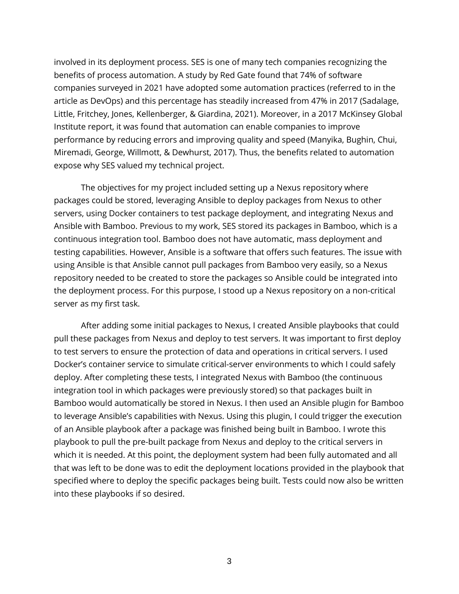involved in its deployment process. SES is one of many tech companies recognizing the benefits of process automation. A study by Red Gate found that 74% of software companies surveyed in 2021 have adopted some automation practices (referred to in the article as DevOps) and this percentage has steadily increased from 47% in 2017 (Sadalage, Little, Fritchey, Jones, Kellenberger, & Giardina, 2021). Moreover, in a 2017 McKinsey Global Institute report, it was found that automation can enable companies to improve performance by reducing errors and improving quality and speed (Manyika, Bughin, Chui, Miremadi, George, Willmott, & Dewhurst, 2017). Thus, the benefits related to automation expose why SES valued my technical project.

The objectives for my project included setting up a Nexus repository where packages could be stored, leveraging Ansible to deploy packages from Nexus to other servers, using Docker containers to test package deployment, and integrating Nexus and Ansible with Bamboo. Previous to my work, SES stored its packages in Bamboo, which is a continuous integration tool. Bamboo does not have automatic, mass deployment and testing capabilities. However, Ansible is a software that offers such features. The issue with using Ansible is that Ansible cannot pull packages from Bamboo very easily, so a Nexus repository needed to be created to store the packages so Ansible could be integrated into the deployment process. For this purpose, I stood up a Nexus repository on a non-critical server as my first task.

After adding some initial packages to Nexus, I created Ansible playbooks that could pull these packages from Nexus and deploy to test servers. It was important to first deploy to test servers to ensure the protection of data and operations in critical servers. I used Docker's container service to simulate critical-server environments to which I could safely deploy. After completing these tests, I integrated Nexus with Bamboo (the continuous integration tool in which packages were previously stored) so that packages built in Bamboo would automatically be stored in Nexus. I then used an Ansible plugin for Bamboo to leverage Ansible's capabilities with Nexus. Using this plugin, I could trigger the execution of an Ansible playbook after a package was finished being built in Bamboo. I wrote this playbook to pull the pre-built package from Nexus and deploy to the critical servers in which it is needed. At this point, the deployment system had been fully automated and all that was left to be done was to edit the deployment locations provided in the playbook that specified where to deploy the specific packages being built. Tests could now also be written into these playbooks if so desired.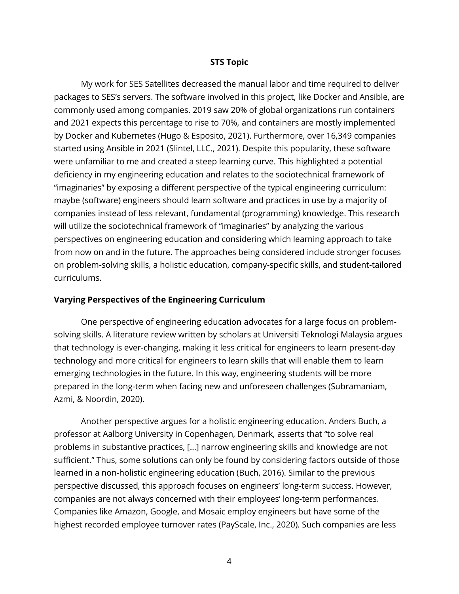#### **STS Topic**

My work for SES Satellites decreased the manual labor and time required to deliver packages to SES's servers. The software involved in this project, like Docker and Ansible, are commonly used among companies. 2019 saw 20% of global organizations run containers and 2021 expects this percentage to rise to 70%, and containers are mostly implemented by Docker and Kubernetes (Hugo & Esposito, 2021). Furthermore, over 16,349 companies started using Ansible in 2021 (Slintel, LLC., 2021). Despite this popularity, these software were unfamiliar to me and created a steep learning curve. This highlighted a potential deficiency in my engineering education and relates to the sociotechnical framework of "imaginaries" by exposing a different perspective of the typical engineering curriculum: maybe (software) engineers should learn software and practices in use by a majority of companies instead of less relevant, fundamental (programming) knowledge. This research will utilize the sociotechnical framework of "imaginaries" by analyzing the various perspectives on engineering education and considering which learning approach to take from now on and in the future. The approaches being considered include stronger focuses on problem-solving skills, a holistic education, company-specific skills, and student-tailored curriculums.

#### **Varying Perspectives of the Engineering Curriculum**

One perspective of engineering education advocates for a large focus on problemsolving skills. A literature review written by scholars at Universiti Teknologi Malaysia argues that technology is ever-changing, making it less critical for engineers to learn present-day technology and more critical for engineers to learn skills that will enable them to learn emerging technologies in the future. In this way, engineering students will be more prepared in the long-term when facing new and unforeseen challenges (Subramaniam, Azmi, & Noordin, 2020).

Another perspective argues for a holistic engineering education. Anders Buch, a professor at Aalborg University in Copenhagen, Denmark, asserts that "to solve real problems in substantive practices, […] narrow engineering skills and knowledge are not sufficient." Thus, some solutions can only be found by considering factors outside of those learned in a non-holistic engineering education (Buch, 2016). Similar to the previous perspective discussed, this approach focuses on engineers' long-term success. However, companies are not always concerned with their employees' long-term performances. Companies like Amazon, Google, and Mosaic employ engineers but have some of the highest recorded employee turnover rates (PayScale, Inc., 2020). Such companies are less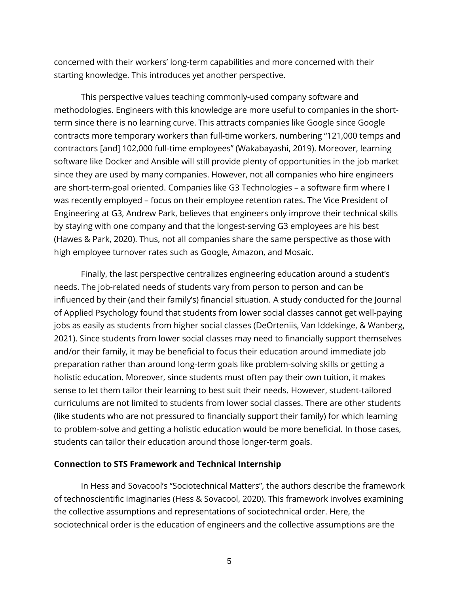concerned with their workers' long-term capabilities and more concerned with their starting knowledge. This introduces yet another perspective.

This perspective values teaching commonly-used company software and methodologies. Engineers with this knowledge are more useful to companies in the shortterm since there is no learning curve. This attracts companies like Google since Google contracts more temporary workers than full-time workers, numbering "121,000 temps and contractors [and] 102,000 full-time employees" (Wakabayashi, 2019). Moreover, learning software like Docker and Ansible will still provide plenty of opportunities in the job market since they are used by many companies. However, not all companies who hire engineers are short-term-goal oriented. Companies like G3 Technologies – a software firm where I was recently employed – focus on their employee retention rates. The Vice President of Engineering at G3, Andrew Park, believes that engineers only improve their technical skills by staying with one company and that the longest-serving G3 employees are his best (Hawes & Park, 2020). Thus, not all companies share the same perspective as those with high employee turnover rates such as Google, Amazon, and Mosaic.

Finally, the last perspective centralizes engineering education around a student's needs. The job-related needs of students vary from person to person and can be influenced by their (and their family's) financial situation. A study conducted for the Journal of Applied Psychology found that students from lower social classes cannot get well-paying jobs as easily as students from higher social classes (DeOrteniis, Van Iddekinge, & Wanberg, 2021). Since students from lower social classes may need to financially support themselves and/or their family, it may be beneficial to focus their education around immediate job preparation rather than around long-term goals like problem-solving skills or getting a holistic education. Moreover, since students must often pay their own tuition, it makes sense to let them tailor their learning to best suit their needs. However, student-tailored curriculums are not limited to students from lower social classes. There are other students (like students who are not pressured to financially support their family) for which learning to problem-solve and getting a holistic education would be more beneficial. In those cases, students can tailor their education around those longer-term goals.

#### **Connection to STS Framework and Technical Internship**

In Hess and Sovacool's "Sociotechnical Matters", the authors describe the framework of technoscientific imaginaries (Hess & Sovacool, 2020). This framework involves examining the collective assumptions and representations of sociotechnical order. Here, the sociotechnical order is the education of engineers and the collective assumptions are the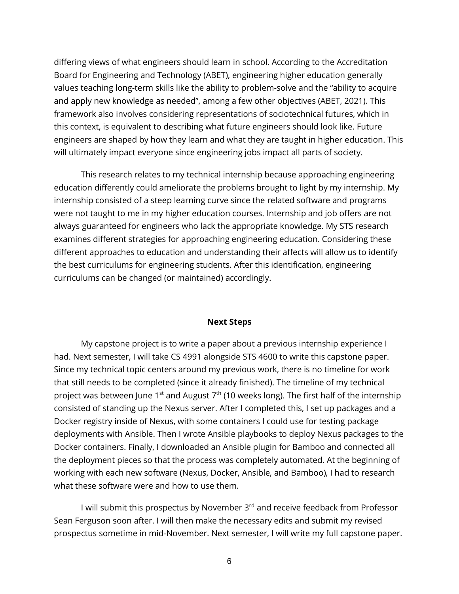differing views of what engineers should learn in school. According to the Accreditation Board for Engineering and Technology (ABET), engineering higher education generally values teaching long-term skills like the ability to problem-solve and the "ability to acquire and apply new knowledge as needed", among a few other objectives (ABET, 2021). This framework also involves considering representations of sociotechnical futures, which in this context, is equivalent to describing what future engineers should look like. Future engineers are shaped by how they learn and what they are taught in higher education. This will ultimately impact everyone since engineering jobs impact all parts of society.

This research relates to my technical internship because approaching engineering education differently could ameliorate the problems brought to light by my internship. My internship consisted of a steep learning curve since the related software and programs were not taught to me in my higher education courses. Internship and job offers are not always guaranteed for engineers who lack the appropriate knowledge. My STS research examines different strategies for approaching engineering education. Considering these different approaches to education and understanding their affects will allow us to identify the best curriculums for engineering students. After this identification, engineering curriculums can be changed (or maintained) accordingly.

#### **Next Steps**

My capstone project is to write a paper about a previous internship experience I had. Next semester, I will take CS 4991 alongside STS 4600 to write this capstone paper. Since my technical topic centers around my previous work, there is no timeline for work that still needs to be completed (since it already finished). The timeline of my technical project was between June 1<sup>st</sup> and August  $7<sup>th</sup>$  (10 weeks long). The first half of the internship consisted of standing up the Nexus server. After I completed this, I set up packages and a Docker registry inside of Nexus, with some containers I could use for testing package deployments with Ansible. Then I wrote Ansible playbooks to deploy Nexus packages to the Docker containers. Finally, I downloaded an Ansible plugin for Bamboo and connected all the deployment pieces so that the process was completely automated. At the beginning of working with each new software (Nexus, Docker, Ansible, and Bamboo), I had to research what these software were and how to use them.

I will submit this prospectus by November 3<sup>rd</sup> and receive feedback from Professor Sean Ferguson soon after. I will then make the necessary edits and submit my revised prospectus sometime in mid-November. Next semester, I will write my full capstone paper.

6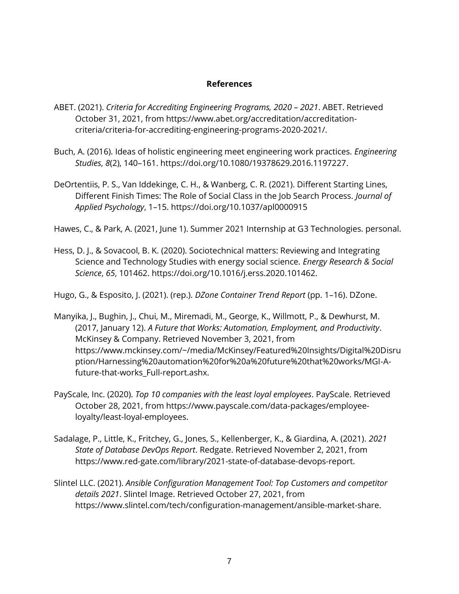# **References**

- ABET. (2021). *Criteria for Accrediting Engineering Programs, 2020 – 2021*. ABET. Retrieved October 31, 2021, from https://www.abet.org/accreditation/accreditationcriteria/criteria-for-accrediting-engineering-programs-2020-2021/.
- Buch, A. (2016). Ideas of holistic engineering meet engineering work practices. *Engineering Studies*, *8*(2), 140–161. https://doi.org/10.1080/19378629.2016.1197227.
- DeOrtentiis, P. S., Van Iddekinge, C. H., & Wanberg, C. R. (2021). Different Starting Lines, Different Finish Times: The Role of Social Class in the Job Search Process. *Journal of Applied Psychology*, 1–15. https://doi.org/10.1037/apl0000915

Hawes, C., & Park, A. (2021, June 1). Summer 2021 Internship at G3 Technologies. personal.

Hess, D. J., & Sovacool, B. K. (2020). Sociotechnical matters: Reviewing and Integrating Science and Technology Studies with energy social science. *Energy Research & Social Science*, *65*, 101462. https://doi.org/10.1016/j.erss.2020.101462.

Hugo, G., & Esposito, J. (2021). (rep.). *DZone Container Trend Report* (pp. 1–16). DZone.

- Manyika, J., Bughin, J., Chui, M., Miremadi, M., George, K., Willmott, P., & Dewhurst, M. (2017, January 12). *A Future that Works: Automation, Employment, and Productivity*. McKinsey & Company. Retrieved November 3, 2021, from https://www.mckinsey.com/~/media/McKinsey/Featured%20Insights/Digital%20Disru ption/Harnessing%20automation%20for%20a%20future%20that%20works/MGI-Afuture-that-works Full-report.ashx.
- PayScale, Inc. (2020). *Top 10 companies with the least loyal employees*. PayScale. Retrieved October 28, 2021, from https://www.payscale.com/data-packages/employeeloyalty/least-loyal-employees.
- Sadalage, P., Little, K., Fritchey, G., Jones, S., Kellenberger, K., & Giardina, A. (2021). *2021 State of Database DevOps Report*. Redgate. Retrieved November 2, 2021, from https://www.red-gate.com/library/2021-state-of-database-devops-report.
- Slintel LLC. (2021). *Ansible Configuration Management Tool: Top Customers and competitor details 2021*. Slintel Image. Retrieved October 27, 2021, from https://www.slintel.com/tech/configuration-management/ansible-market-share.